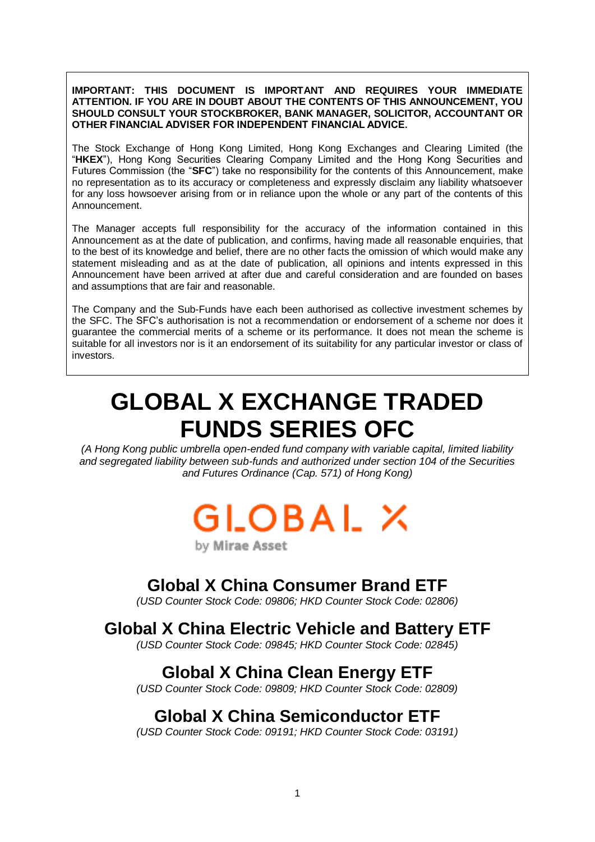**IMPORTANT: THIS DOCUMENT IS IMPORTANT AND REQUIRES YOUR IMMEDIATE ATTENTION. IF YOU ARE IN DOUBT ABOUT THE CONTENTS OF THIS ANNOUNCEMENT, YOU SHOULD CONSULT YOUR STOCKBROKER, BANK MANAGER, SOLICITOR, ACCOUNTANT OR OTHER FINANCIAL ADVISER FOR INDEPENDENT FINANCIAL ADVICE.**

The Stock Exchange of Hong Kong Limited, Hong Kong Exchanges and Clearing Limited (the "**HKEX**"), Hong Kong Securities Clearing Company Limited and the Hong Kong Securities and Futures Commission (the "**SFC**") take no responsibility for the contents of this Announcement, make no representation as to its accuracy or completeness and expressly disclaim any liability whatsoever for any loss howsoever arising from or in reliance upon the whole or any part of the contents of this Announcement.

The Manager accepts full responsibility for the accuracy of the information contained in this Announcement as at the date of publication, and confirms, having made all reasonable enquiries, that to the best of its knowledge and belief, there are no other facts the omission of which would make any statement misleading and as at the date of publication, all opinions and intents expressed in this Announcement have been arrived at after due and careful consideration and are founded on bases and assumptions that are fair and reasonable.

The Company and the Sub-Funds have each been authorised as collective investment schemes by the SFC. The SFC's authorisation is not a recommendation or endorsement of a scheme nor does it guarantee the commercial merits of a scheme or its performance. It does not mean the scheme is suitable for all investors nor is it an endorsement of its suitability for any particular investor or class of investors.

# **GLOBAL X EXCHANGE TRADED FUNDS SERIES OFC**

*(A Hong Kong public umbrella open-ended fund company with variable capital, limited liability and segregated liability between sub-funds and authorized under section 104 of the Securities and Futures Ordinance (Cap. 571) of Hong Kong)*

GLOBAL X

by Mirae Asset

## **Global X China Consumer Brand ETF**

*(USD Counter Stock Code: 09806; HKD Counter Stock Code: 02806)*

#### **Global X China Electric Vehicle and Battery ETF**

*(USD Counter Stock Code: 09845; HKD Counter Stock Code: 02845)*

## **Global X China Clean Energy ETF**

*(USD Counter Stock Code: 09809; HKD Counter Stock Code: 02809)*

### **Global X China Semiconductor ETF**

*(USD Counter Stock Code: 09191; HKD Counter Stock Code: 03191)*